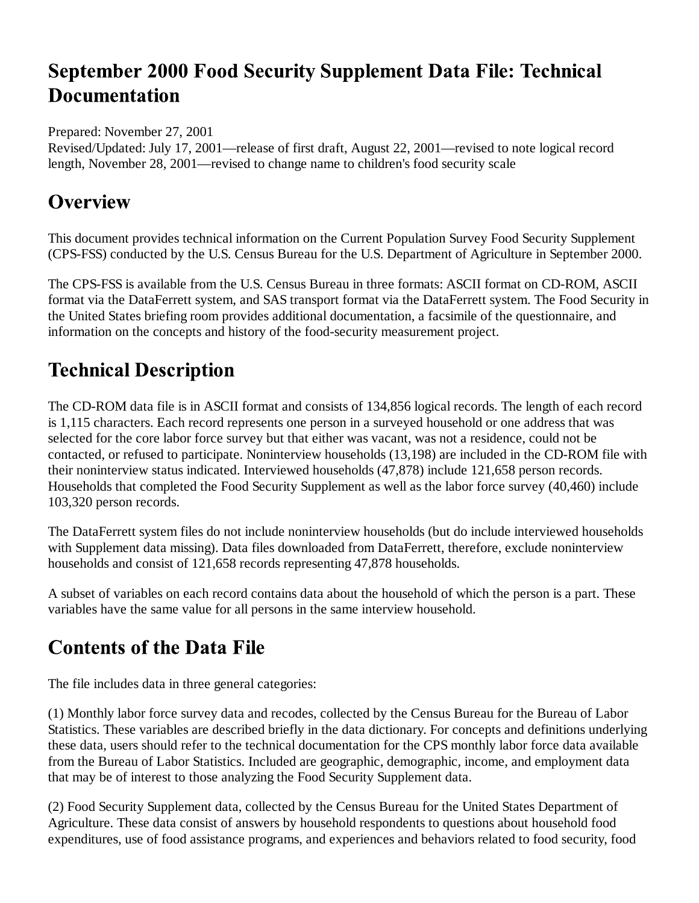# **September 2000 Food Security Supplement Data File: Technical Documentation**

#### Prepared: November 27, 2001

Revised/Updated: July 17, 2001—release of first draft, August 22, 2001—revised to note logical record length, November 28, 2001—revised to change name to children's food security scale

#### **Overview**

This document provides technical information on the Current Population Survey Food Security Supplement (CPS-FSS) conducted by the U.S. Census Bureau for the U.S. Department of Agriculture in September 2000.

The CPS-FSS is available from the U.S. Census Bureau in three formats: ASCII format on CD-ROM, ASCII format via the DataFerrett system, and SAS transport format via the DataFerrett system. The Food Security in the United States briefing room provides additional documentation, a facsimile of the questionnaire, and information on the concepts and history of the food-security measurement project.

# **Technical Description**

The CD-ROM data file is in ASCII format and consists of 134,856 logical records. The length of each record is 1,115 characters. Each record represents one person in a surveyed household or one address that was selected for the core labor force survey but that either was vacant, was not a residence, could not be contacted, or refused to participate. Noninterview households (13,198) are included in the CD-ROM file with their noninterview status indicated. Interviewed households (47,878) include 121,658 person records. Households that completed the Food Security Supplement as well as the labor force survey (40,460) include 103,320 person records.

The DataFerrett system files do not include noninterview households (but do include interviewed households with Supplement data missing). Data files downloaded from DataFerrett, therefore, exclude noninterview households and consist of 121,658 records representing 47,878 households.

A subset of variables on each record contains data about the household of which the person is a part. These variables have the same value for all persons in the same interview household.

# **Contents of the Data File**

The file includes data in three general categories:

(1) Monthly labor force survey data and recodes, collected by the Census Bureau for the Bureau of Labor Statistics. These variables are described briefly in the data dictionary. For concepts and definitions underlying these data, users should refer to the technical documentation for the CPS monthly labor force data available from the Bureau of Labor Statistics. Included are geographic, demographic, income, and employment data that may be of interest to those analyzing the Food Security Supplement data.

(2) Food Security Supplement data, collected by the Census Bureau for the United States Department of Agriculture. These data consist of answers by household respondents to questions about household food expenditures, use of food assistance programs, and experiences and behaviors related to food security, food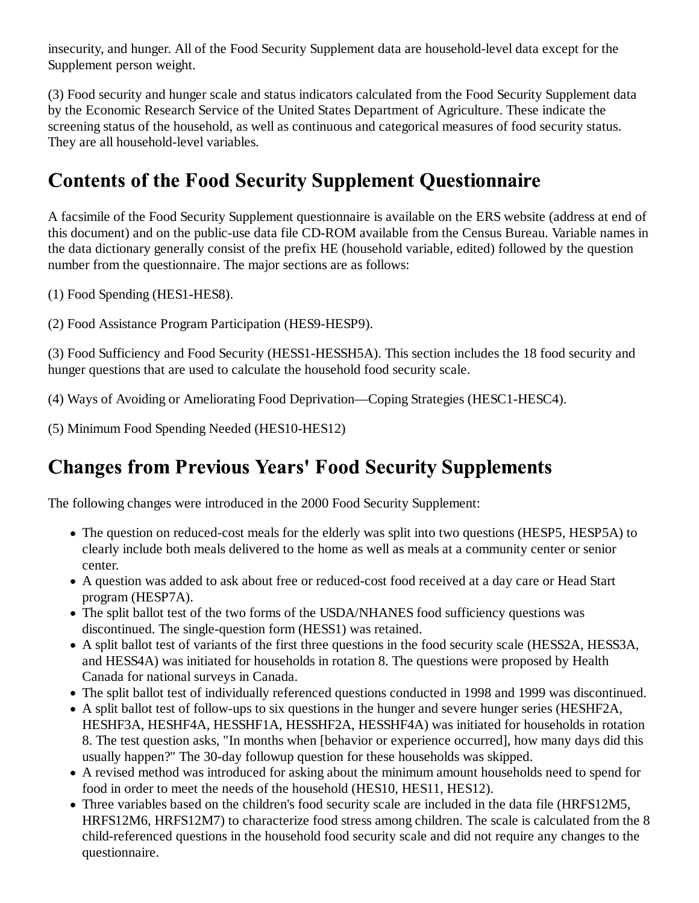insecurity, and hunger. All of the Food Security Supplement data are household-level data except for the Supplement person weight.

(3) Food security and hunger scale and status indicators calculated from the Food Security Supplement data by the Economic Research Service of the United States Department of Agriculture. These indicate the screening status of the household, as well as continuous and categorical measures of food security status. They are all household-level variables.

# **Contents of the Food Security Supplement Questionnaire**

A facsimile of the Food Security Supplement questionnaire is available on the ERS website (address at end of this document) and on the public-use data file CD-ROM available from the Census Bureau. Variable names in the data dictionary generally consist of the prefix HE (household variable, edited) followed by the question number from the questionnaire. The major sections are as follows:

- (1) Food Spending (HES1-HES8).
- (2) Food Assistance Program Participation (HES9-HESP9).

(3) Food Sufficiency and Food Security (HESS1-HESSH5A). This section includes the 18 food security and hunger questions that are used to calculate the household food security scale.

(4) Ways of Avoiding or Ameliorating Food Deprivation—Coping Strategies (HESC1-HESC4).

(5) Minimum Food Spending Needed (HES10-HES12)

# **Changes from Previous Years' Food Security Supplements**

The following changes were introduced in the 2000 Food Security Supplement:

- The question on reduced-cost meals for the elderly was split into two questions (HESP5, HESP5A) to clearly include both meals delivered to the home as well as meals at a community center or senior center.
- A question was added to ask about free or reduced-cost food received at a day care or Head Start program (HESP7A).
- The split ballot test of the two forms of the USDA/NHANES food sufficiency questions was discontinued. The single-question form (HESS1) was retained.
- A split ballot test of variants of the first three questions in the food security scale (HESS2A, HESS3A, and HESS4A) was initiated for households in rotation 8. The questions were proposed by Health Canada for national surveys in Canada.
- The split ballot test of individually referenced questions conducted in 1998 and 1999 was discontinued.
- A split ballot test of follow-ups to six questions in the hunger and severe hunger series (HESHF2A, HESHF3A, HESHF4A, HESSHF1A, HESSHF2A, HESSHF4A) was initiated for households in rotation 8. The test question asks, "In months when [behavior or experience occurred], how many days did this usually happen?" The 30-day followup question for these households was skipped.
- A revised method was introduced for asking about the minimum amount households need to spend for food in order to meet the needs of the household (HES10, HES11, HES12).
- Three variables based on the children's food security scale are included in the data file (HRFS12M5, HRFS12M6, HRFS12M7) to characterize food stress among children. The scale is calculated from the 8 child-referenced questions in the household food security scale and did not require any changes to the questionnaire.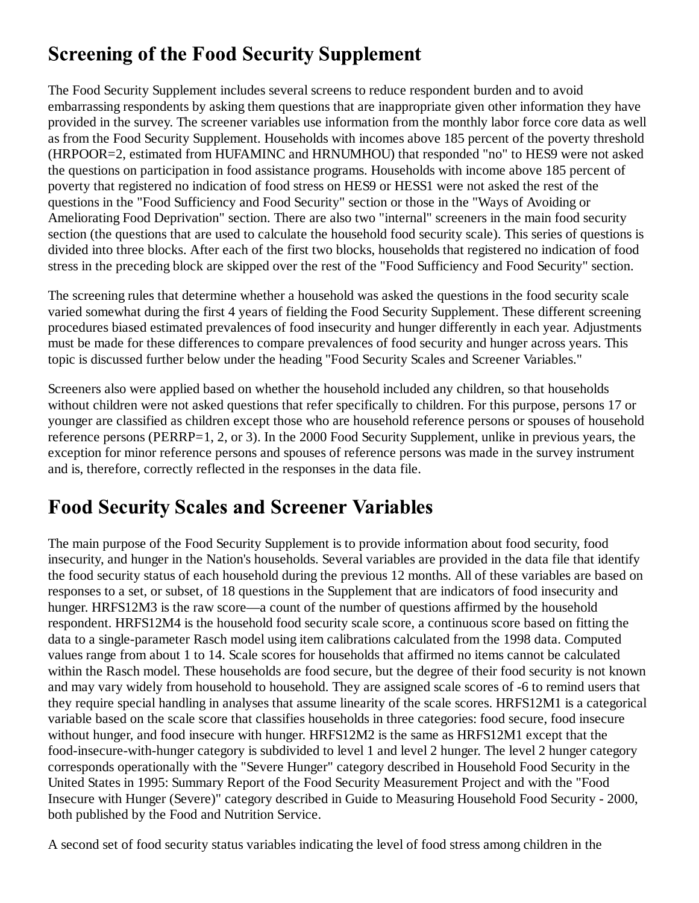# **Screening of the Food Security Supplement**

The Food Security Supplement includes several screens to reduce respondent burden and to avoid embarrassing respondents by asking them questions that are inappropriate given other information they have provided in the survey. The screener variables use information from the monthly labor force core data as well as from the Food Security Supplement. Households with incomes above 185 percent of the poverty threshold (HRPOOR=2, estimated from HUFAMINC and HRNUMHOU) that responded "no" to HES9 were not asked the questions on participation in food assistance programs. Households with income above 185 percent of poverty that registered no indication of food stress on HES9 or HESS1 were not asked the rest of the questions in the "Food Sufficiency and Food Security" section or those in the "Ways of Avoiding or Ameliorating Food Deprivation" section. There are also two "internal" screeners in the main food security section (the questions that are used to calculate the household food security scale). This series of questions is divided into three blocks. After each of the first two blocks, households that registered no indication of food stress in the preceding block are skipped over the rest of the "Food Sufficiency and Food Security" section.

The screening rules that determine whether a household was asked the questions in the food security scale varied somewhat during the first 4 years of fielding the Food Security Supplement. These different screening procedures biased estimated prevalences of food insecurity and hunger differently in each year. Adjustments must be made for these differences to compare prevalences of food security and hunger across years. This topic is discussed further below under the heading "Food Security Scales and Screener Variables."

Screeners also were applied based on whether the household included any children, so that households without children were not asked questions that refer specifically to children. For this purpose, persons 17 or younger are classified as children except those who are household reference persons or spouses of household reference persons (PERRP=1, 2, or 3). In the 2000 Food Security Supplement, unlike in previous years, the exception for minor reference persons and spouses of reference persons was made in the survey instrument and is, therefore, correctly reflected in the responses in the data file.

# **Food Security Scales and Screener Variables**

The main purpose of the Food Security Supplement is to provide information about food security, food insecurity, and hunger in the Nation's households. Several variables are provided in the data file that identify the food security status of each household during the previous 12 months. All of these variables are based on responses to a set, or subset, of 18 questions in the Supplement that are indicators of food insecurity and hunger. HRFS12M3 is the raw score—a count of the number of questions affirmed by the household respondent. HRFS12M4 is the household food security scale score, a continuous score based on fitting the data to a single-parameter Rasch model using item calibrations calculated from the 1998 data. Computed values range from about 1 to 14. Scale scores for households that affirmed no items cannot be calculated within the Rasch model. These households are food secure, but the degree of their food security is not known and may vary widely from household to household. They are assigned scale scores of -6 to remind users that they require special handling in analyses that assume linearity of the scale scores. HRFS12M1 is a categorical variable based on the scale score that classifies households in three categories: food secure, food insecure without hunger, and food insecure with hunger. HRFS12M2 is the same as HRFS12M1 except that the food-insecure-with-hunger category is subdivided to level 1 and level 2 hunger. The level 2 hunger category corresponds operationally with the "Severe Hunger" category described in Household Food Security in the United States in 1995: Summary Report of the Food Security Measurement Project and with the "Food Insecure with Hunger (Severe)" category described in Guide to Measuring Household Food Security - 2000, both published by the Food and Nutrition Service.

A second set of food security status variables indicating the level of food stress among children in the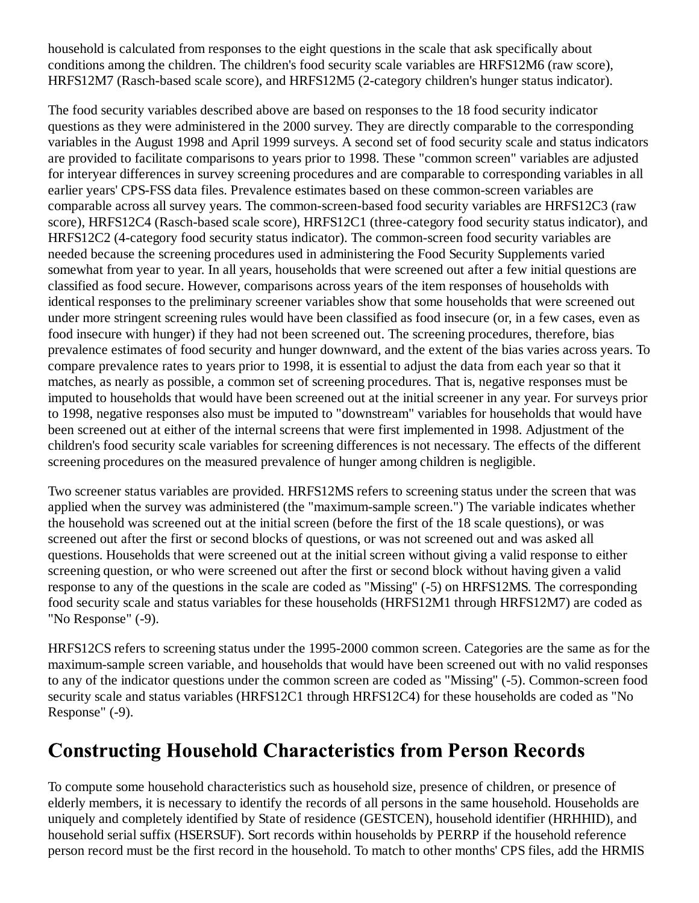household is calculated from responses to the eight questions in the scale that ask specifically about conditions among the children. The children's food security scale variables are HRFS12M6 (raw score), HRFS12M7 (Rasch-based scale score), and HRFS12M5 (2-category children's hunger status indicator).

The food security variables described above are based on responses to the 18 food security indicator questions as they were administered in the 2000 survey. They are directly comparable to the corresponding variables in the August 1998 and April 1999 surveys. A second set of food security scale and status indicators are provided to facilitate comparisons to years prior to 1998. These "common screen" variables are adjusted for interyear differences in survey screening procedures and are comparable to corresponding variables in all earlier years' CPS-FSS data files. Prevalence estimates based on these common-screen variables are comparable across all survey years. The common-screen-based food security variables are HRFS12C3 (raw score), HRFS12C4 (Rasch-based scale score), HRFS12C1 (three-category food security status indicator), and HRFS12C2 (4-category food security status indicator). The common-screen food security variables are needed because the screening procedures used in administering the Food Security Supplements varied somewhat from year to year. In all years, households that were screened out after a few initial questions are classified as food secure. However, comparisons across years of the item responses of households with identical responses to the preliminary screener variables show that some households that were screened out under more stringent screening rules would have been classified as food insecure (or, in a few cases, even as food insecure with hunger) if they had not been screened out. The screening procedures, therefore, bias prevalence estimates of food security and hunger downward, and the extent of the bias varies across years. To compare prevalence rates to years prior to 1998, it is essential to adjust the data from each year so that it matches, as nearly as possible, a common set of screening procedures. That is, negative responses must be imputed to households that would have been screened out at the initial screener in any year. For surveys prior to 1998, negative responses also must be imputed to "downstream" variables for households that would have been screened out at either of the internal screens that were first implemented in 1998. Adjustment of the children's food security scale variables for screening differences is not necessary. The effects of the different screening procedures on the measured prevalence of hunger among children is negligible.

Two screener status variables are provided. HRFS12MS refers to screening status under the screen that was applied when the survey was administered (the "maximum-sample screen.") The variable indicates whether the household was screened out at the initial screen (before the first of the 18 scale questions), or was screened out after the first or second blocks of questions, or was not screened out and was asked all questions. Households that were screened out at the initial screen without giving a valid response to either screening question, or who were screened out after the first or second block without having given a valid response to any of the questions in the scale are coded as "Missing" (-5) on HRFS12MS. The corresponding food security scale and status variables for these households (HRFS12M1 through HRFS12M7) are coded as "No Response" (-9).

HRFS12CS refers to screening status under the 1995-2000 common screen. Categories are the same as for the maximum-sample screen variable, and households that would have been screened out with no valid responses to any of the indicator questions under the common screen are coded as "Missing" (-5). Common-screen food security scale and status variables (HRFS12C1 through HRFS12C4) for these households are coded as "No Response" (-9).

### **Constructing Household Characteristics from Person Records**

To compute some household characteristics such as household size, presence of children, or presence of elderly members, it is necessary to identify the records of all persons in the same household. Households are uniquely and completely identified by State of residence (GESTCEN), household identifier (HRHHID), and household serial suffix (HSERSUF). Sort records within households by PERRP if the household reference person record must be the first record in the household. To match to other months' CPS files, add the HRMIS